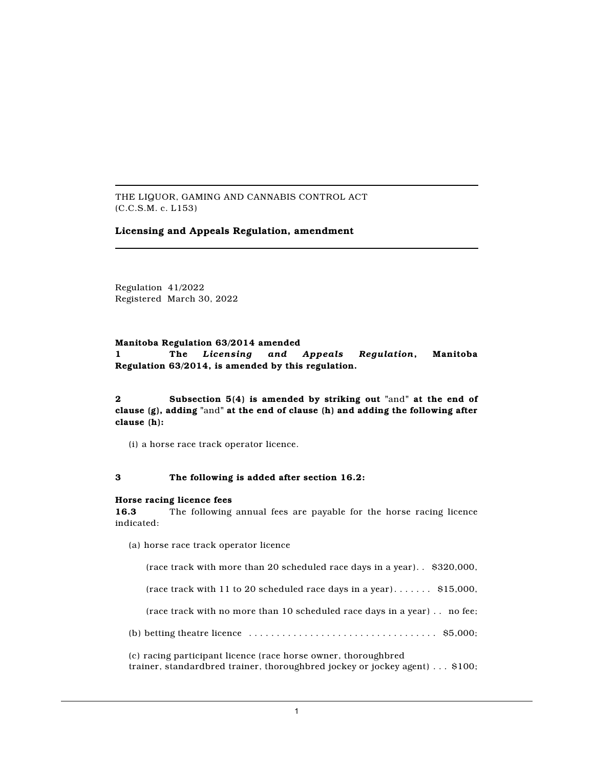THE LIQUOR, GAMING AND CANNABIS CONTROL ACT (C.C.S.M. c. L153)

# **Licensing and Appeals Regulation, amendment**

Regulation 41/2022 Registered March 30, 2022

### **Manitoba Regulation 63/2014 amended**

**1 The** *Licensing and Appeals Regulation***, Manitoba Regulation 63/2014, is amended by this regulation.**

**2 Subsection 5(4) is amended by striking out "**and**" at the end of clause (g), adding "**and**" at the end of clause (h) and adding the following after clause (h):**

(i) a horse race track operator licence.

## **3 The following is added after section 16.2:**

#### **Horse racing licence fees**

**16.3** The following annual fees are payable for the horse racing licence indicated:

(a) horse race track operator licence

(race track with more than 20 scheduled race days in a year). . \$320,000,

(race track with 11 to 20 scheduled race days in a year).......  $$15,000$ ,

(race track with no more than 10 scheduled race days in a year) . . no fee;

(b) betting theatre licence . . . . . . . . . . . . . . . . . . . . . . . . . . . . . . . . . . \$5,000;

(c) racing participant licence (race horse owner, thoroughbred trainer, standardbred trainer, thoroughbred jockey or jockey agent) . . . \$100;